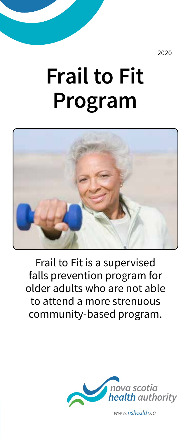2020

# **Frail to Fit Program**



Frail to Fit is a supervised falls prevention program for older adults who are not able to attend a more strenuous community-based program.



*www.nshealth.ca*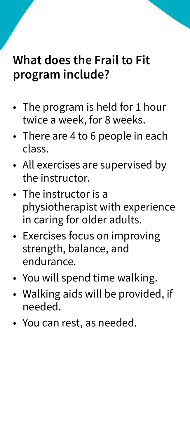#### **What does the Frail to Fit program include?**

- The program is held for 1 hour twice a week, for 8 weeks.
- There are 4 to 6 people in each class.
- All exercises are supervised by the instructor.
- The instructor is a physiotherapist with experience in caring for older adults.
- Exercises focus on improving strength, balance, and endurance.
- You will spend time walking.
- Walking aids will be provided, if needed.
- You can rest, as needed.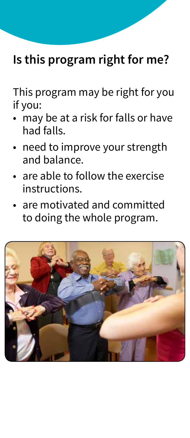### **Is this program right for me?**

This program may be right for you if you:

- may be at a risk for falls or have had falls.
- need to improve your strength and balance.
- are able to follow the exercise instructions.
- are motivated and committed to doing the whole program.

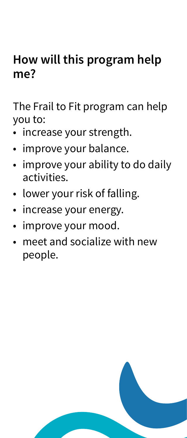### **How will this program help me?**

The Frail to Fit program can help you to:

- increase your strength.
- improve your balance.
- improve your ability to do daily activities.
- lower your risk of falling.
- increase your energy.
- improve your mood.
- meet and socialize with new people.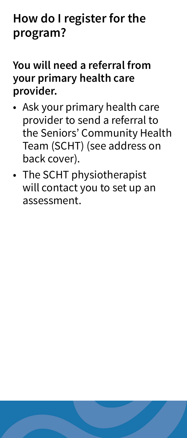## **How do I register for the program?**

#### **You will need a referral from your primary health care provider.**

- Ask your primary health care provider to send a referral to the Seniors' Community Health Team (SCHT) (see address on back cover).
- The SCHT physiotherapist will contact you to set up an assessment.